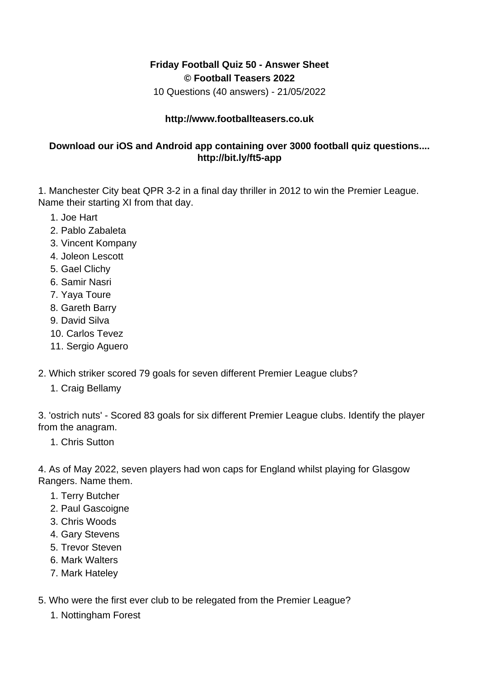## **Friday Football Quiz 50 - Answer Sheet © Football Teasers 2022**

10 Questions (40 answers) - 21/05/2022

## **http://www.footballteasers.co.uk**

## **Download our iOS and Android app containing over 3000 football quiz questions.... http://bit.ly/ft5-app**

1. Manchester City beat QPR 3-2 in a final day thriller in 2012 to win the Premier League. Name their starting XI from that day.

- 1. Joe Hart
- 2. Pablo Zabaleta
- 3. Vincent Kompany
- 4. Joleon Lescott
- 5. Gael Clichy
- 6. Samir Nasri
- 7. Yaya Toure
- 8. Gareth Barry
- 9. David Silva
- 10. Carlos Tevez
- 11. Sergio Aguero
- 2. Which striker scored 79 goals for seven different Premier League clubs?
	- 1. Craig Bellamy

3. 'ostrich nuts' - Scored 83 goals for six different Premier League clubs. Identify the player from the anagram.

1. Chris Sutton

4. As of May 2022, seven players had won caps for England whilst playing for Glasgow Rangers. Name them.

- 1. Terry Butcher
- 2. Paul Gascoigne
- 3. Chris Woods
- 4. Gary Stevens
- 5. Trevor Steven
- 6. Mark Walters
- 7. Mark Hateley
- 5. Who were the first ever club to be relegated from the Premier League?
	- 1. Nottingham Forest